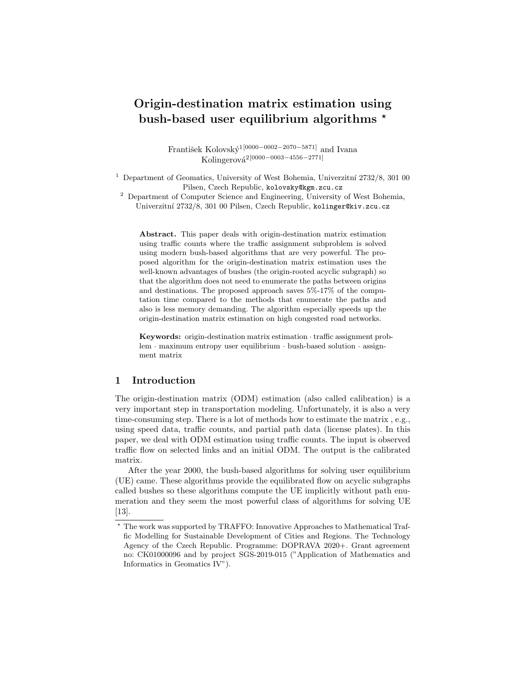# Origin-destination matrix estimation using bush-based user equilibrium algorithms  $\star$

František Kolovský<sup>1[0000–0002–2070–5871]</sup> and Ivana Kolingerová<sup>2</sup>[0000−0003−4556−2771]

<sup>1</sup> Department of Geomatics, University of West Bohemia, Univerzitní  $2732/8$ , 301 00 Pilsen, Czech Republic, kolovsky@kgm.zcu.cz

<sup>2</sup> Department of Computer Science and Engineering, University of West Bohemia, Univerzitní 2732/8, 301 00 Pilsen, Czech Republic, kolinger@kiv.zcu.cz

Abstract. This paper deals with origin-destination matrix estimation using traffic counts where the traffic assignment subproblem is solved using modern bush-based algorithms that are very powerful. The proposed algorithm for the origin-destination matrix estimation uses the well-known advantages of bushes (the origin-rooted acyclic subgraph) so that the algorithm does not need to enumerate the paths between origins and destinations. The proposed approach saves 5%-17% of the computation time compared to the methods that enumerate the paths and also is less memory demanding. The algorithm especially speeds up the origin-destination matrix estimation on high congested road networks.

Keywords: origin-destination matrix estimation · traffic assignment problem · maximum entropy user equilibrium · bush-based solution · assignment matrix

# 1 Introduction

The origin-destination matrix (ODM) estimation (also called calibration) is a very important step in transportation modeling. Unfortunately, it is also a very time-consuming step. There is a lot of methods how to estimate the matrix , e.g., using speed data, traffic counts, and partial path data (license plates). In this paper, we deal with ODM estimation using traffic counts. The input is observed traffic flow on selected links and an initial ODM. The output is the calibrated matrix.

After the year 2000, the bush-based algorithms for solving user equilibrium (UE) came. These algorithms provide the equilibrated flow on acyclic subgraphs called bushes so these algorithms compute the UE implicitly without path enumeration and they seem the most powerful class of algorithms for solving UE [13].

<sup>?</sup> The work was supported by TRAFFO: Innovative Approaches to Mathematical Traffic Modelling for Sustainable Development of Cities and Regions. The Technology Agency of the Czech Republic. Programme: DOPRAVA 2020+. Grant agreement no: CK01000096 and by project SGS-2019-015 ("Application of Mathematics and Informatics in Geomatics IV").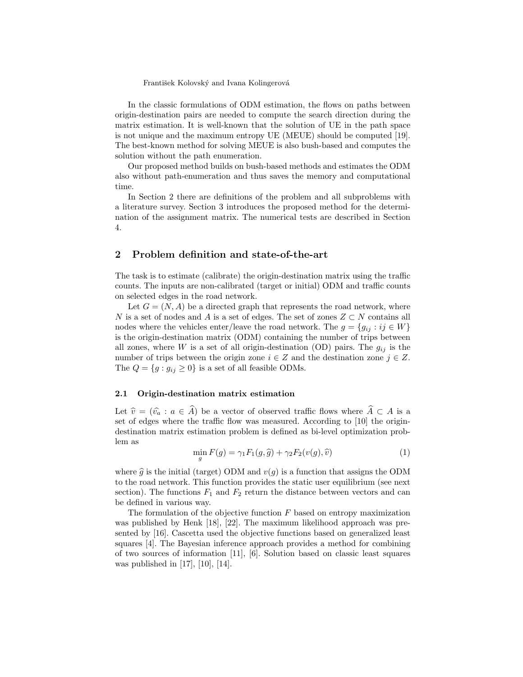In the classic formulations of ODM estimation, the flows on paths between origin-destination pairs are needed to compute the search direction during the matrix estimation. It is well-known that the solution of UE in the path space is not unique and the maximum entropy UE (MEUE) should be computed [19]. The best-known method for solving MEUE is also bush-based and computes the solution without the path enumeration.

Our proposed method builds on bush-based methods and estimates the ODM also without path-enumeration and thus saves the memory and computational time.

In Section 2 there are definitions of the problem and all subproblems with a literature survey. Section 3 introduces the proposed method for the determination of the assignment matrix. The numerical tests are described in Section 4.

## 2 Problem definition and state-of-the-art

The task is to estimate (calibrate) the origin-destination matrix using the traffic counts. The inputs are non-calibrated (target or initial) ODM and traffic counts on selected edges in the road network.

Let  $G = (N, A)$  be a directed graph that represents the road network, where N is a set of nodes and A is a set of edges. The set of zones  $Z \subset N$  contains all nodes where the vehicles enter/leave the road network. The  $g = \{g_{ij} : ij \in W\}$ is the origin-destination matrix (ODM) containing the number of trips between all zones, where W is a set of all origin-destination (OD) pairs. The  $g_{ij}$  is the number of trips between the origin zone  $i \in \mathbb{Z}$  and the destination zone  $j \in \mathbb{Z}$ . The  $Q = \{g : g_{ij} \geq 0\}$  is a set of all feasible ODMs.

## 2.1 Origin-destination matrix estimation

Let  $\hat{v} = (\hat{v}_a : a \in \hat{A})$  be a vector of observed traffic flows where  $\hat{A} \subset A$  is a set of edges where the traffic flow was measured. According to [10] the origindestination matrix estimation problem is defined as bi-level optimization problem as

$$
\min_{g} F(g) = \gamma_1 F_1(g, \hat{g}) + \gamma_2 F_2(v(g), \hat{v}) \tag{1}
$$

where  $\hat{g}$  is the initial (target) ODM and  $v(g)$  is a function that assigns the ODM to the road network. This function provides the static user equilibrium (see next section). The functions  $F_1$  and  $F_2$  return the distance between vectors and can be defined in various way.

The formulation of the objective function  $F$  based on entropy maximization was published by Henk [18], [22]. The maximum likelihood approach was presented by [16]. Cascetta used the objective functions based on generalized least squares [4]. The Bayesian inference approach provides a method for combining of two sources of information [11], [6]. Solution based on classic least squares was published in [17], [10], [14].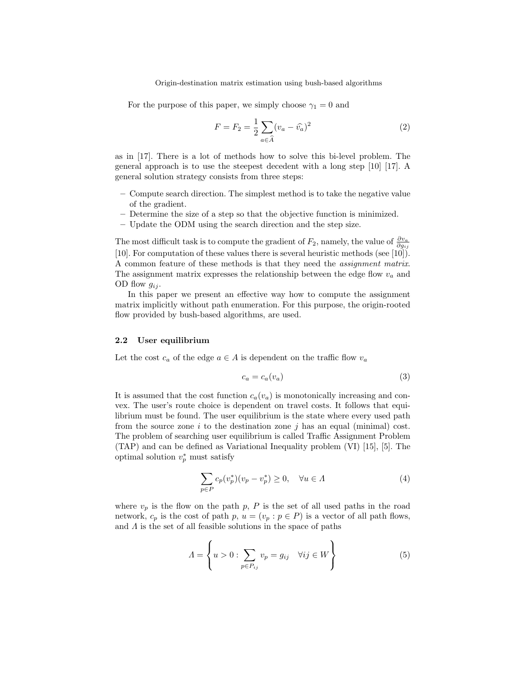For the purpose of this paper, we simply choose  $\gamma_1 = 0$  and

$$
F = F_2 = \frac{1}{2} \sum_{a \in \widehat{A}} (v_a - \widehat{v}_a)^2
$$
 (2)

as in [17]. There is a lot of methods how to solve this bi-level problem. The general approach is to use the steepest decedent with a long step [10] [17]. A general solution strategy consists from three steps:

- Compute search direction. The simplest method is to take the negative value of the gradient.
- Determine the size of a step so that the objective function is minimized.
- Update the ODM using the search direction and the step size.

The most difficult task is to compute the gradient of  $F_2$ , namely, the value of  $\frac{\partial v_a}{\partial g_{ij}}$ [10]. For computation of these values there is several heuristic methods (see [10]). A common feature of these methods is that they need the assignment matrix. The assignment matrix expresses the relationship between the edge flow  $v_a$  and OD flow  $g_{ij}$ .

In this paper we present an effective way how to compute the assignment matrix implicitly without path enumeration. For this purpose, the origin-rooted flow provided by bush-based algorithms, are used.

#### 2.2 User equilibrium

Let the cost  $c_a$  of the edge  $a \in A$  is dependent on the traffic flow  $v_a$ 

$$
c_a = c_a(v_a) \tag{3}
$$

It is assumed that the cost function  $c_a(v_a)$  is monotonically increasing and convex. The user's route choice is dependent on travel costs. It follows that equilibrium must be found. The user equilibrium is the state where every used path from the source zone i to the destination zone j has an equal (minimal) cost. The problem of searching user equilibrium is called Traffic Assignment Problem (TAP) and can be defined as Variational Inequality problem (VI) [15], [5]. The optimal solution  $v_p^*$  must satisfy

$$
\sum_{p \in P} c_p(v_p^*)(v_p - v_p^*) \ge 0, \quad \forall u \in \Lambda \tag{4}
$$

where  $v_p$  is the flow on the path p, P is the set of all used paths in the road network,  $c_p$  is the cost of path p,  $u = (v_p : p \in P)$  is a vector of all path flows, and  $\Lambda$  is the set of all feasible solutions in the space of paths

$$
\Lambda = \left\{ u > 0 : \sum_{p \in P_{ij}} v_p = g_{ij} \quad \forall ij \in W \right\}
$$
 (5)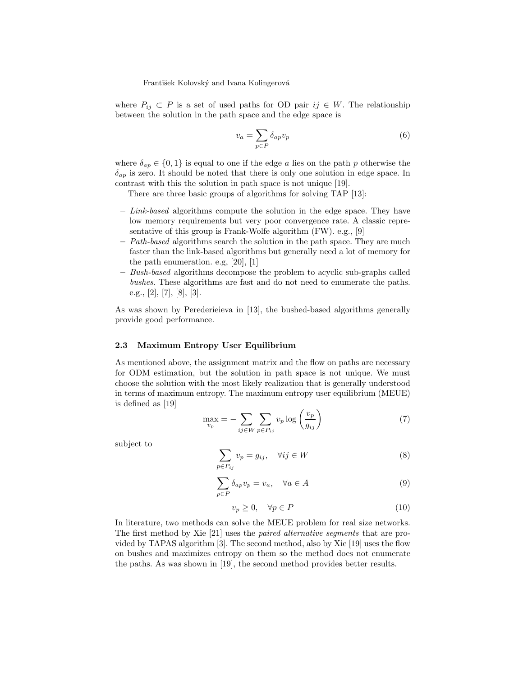where  $P_{ij} \subset P$  is a set of used paths for OD pair  $ij \in W$ . The relationship between the solution in the path space and the edge space is

$$
v_a = \sum_{p \in P} \delta_{ap} v_p \tag{6}
$$

where  $\delta_{ap} \in \{0,1\}$  is equal to one if the edge a lies on the path p otherwise the  $\delta_{ap}$  is zero. It should be noted that there is only one solution in edge space. In contrast with this the solution in path space is not unique [19].

There are three basic groups of algorithms for solving TAP [13]:

- $-$  Link-based algorithms compute the solution in the edge space. They have low memory requirements but very poor convergence rate. A classic representative of this group is Frank-Wolfe algorithm (FW). e.g., [9]
- $-$  Path-based algorithms search the solution in the path space. They are much faster than the link-based algorithms but generally need a lot of memory for the path enumeration. e.g, [20], [1]
- Bush-based algorithms decompose the problem to acyclic sub-graphs called bushes. These algorithms are fast and do not need to enumerate the paths. e.g., [2], [7], [8], [3].

As was shown by Perederieieva in [13], the bushed-based algorithms generally provide good performance.

### 2.3 Maximum Entropy User Equilibrium

As mentioned above, the assignment matrix and the flow on paths are necessary for ODM estimation, but the solution in path space is not unique. We must choose the solution with the most likely realization that is generally understood in terms of maximum entropy. The maximum entropy user equilibrium (MEUE) is defined as [19]

$$
\max_{v_p} = -\sum_{ij \in W} \sum_{p \in P_{ij}} v_p \log \left(\frac{v_p}{g_{ij}}\right) \tag{7}
$$

subject to

$$
\sum_{p \in P_{ij}} v_p = g_{ij}, \quad \forall ij \in W \tag{8}
$$

$$
\sum_{p \in P} \delta_{ap} v_p = v_a, \quad \forall a \in A \tag{9}
$$

$$
v_p \ge 0, \quad \forall p \in P \tag{10}
$$

In literature, two methods can solve the MEUE problem for real size networks. The first method by Xie [21] uses the paired alternative segments that are provided by TAPAS algorithm [3]. The second method, also by Xie [19] uses the flow on bushes and maximizes entropy on them so the method does not enumerate the paths. As was shown in [19], the second method provides better results.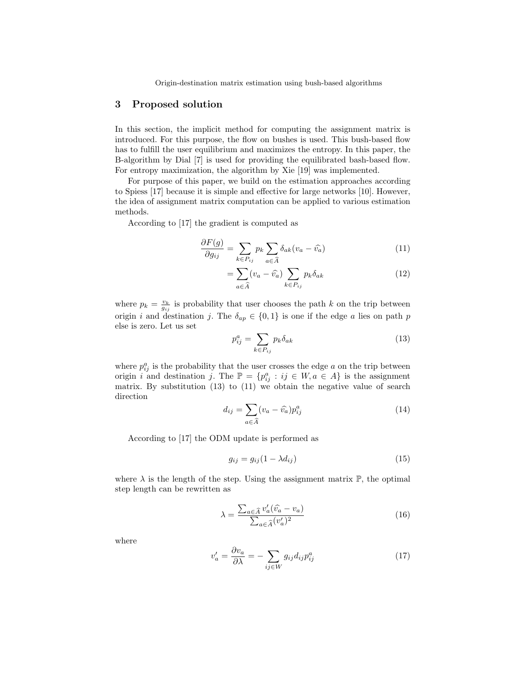## 3 Proposed solution

In this section, the implicit method for computing the assignment matrix is introduced. For this purpose, the flow on bushes is used. This bush-based flow has to fulfill the user equilibrium and maximizes the entropy. In this paper, the B-algorithm by Dial [7] is used for providing the equilibrated bash-based flow. For entropy maximization, the algorithm by Xie [19] was implemented.

For purpose of this paper, we build on the estimation approaches according to Spiess [17] because it is simple and effective for large networks [10]. However, the idea of assignment matrix computation can be applied to various estimation methods.

According to [17] the gradient is computed as

$$
\frac{\partial F(g)}{\partial g_{ij}} = \sum_{k \in P_{ij}} p_k \sum_{a \in \widehat{A}} \delta_{ak} (v_a - \widehat{v_a}) \tag{11}
$$

$$
= \sum_{a \in \widehat{A}} (v_a - \widehat{v}_a) \sum_{k \in P_{ij}} p_k \delta_{ak} \tag{12}
$$

where  $p_k = \frac{v_k}{g_{ij}}$  is probability that user chooses the path k on the trip between origin i and destination j. The  $\delta_{ap} \in \{0,1\}$  is one if the edge a lies on path p else is zero. Let us set

$$
p_{ij}^a = \sum_{k \in P_{ij}} p_k \delta_{ak} \tag{13}
$$

where  $p_{ij}^a$  is the probability that the user crosses the edge a on the trip between origin i and destination j. The  $\mathbb{P} = \{p_{ij}^a : ij \in W, a \in A\}$  is the assignment matrix. By substitution (13) to (11) we obtain the negative value of search direction

$$
d_{ij} = \sum_{a \in \widehat{A}} (v_a - \widehat{v_a}) p_{ij}^a
$$
 (14)

According to [17] the ODM update is performed as

$$
g_{ij} = g_{ij}(1 - \lambda d_{ij})\tag{15}
$$

where  $\lambda$  is the length of the step. Using the assignment matrix  $\mathbb{P}$ , the optimal step length can be rewritten as

$$
\lambda = \frac{\sum_{a \in \widehat{A}} v_a' (\widehat{v_a} - v_a)}{\sum_{a \in \widehat{A}} (v_a')^2}
$$
(16)

where

$$
v_a' = \frac{\partial v_a}{\partial \lambda} = -\sum_{ij \in W} g_{ij} d_{ij} p_{ij}^a \tag{17}
$$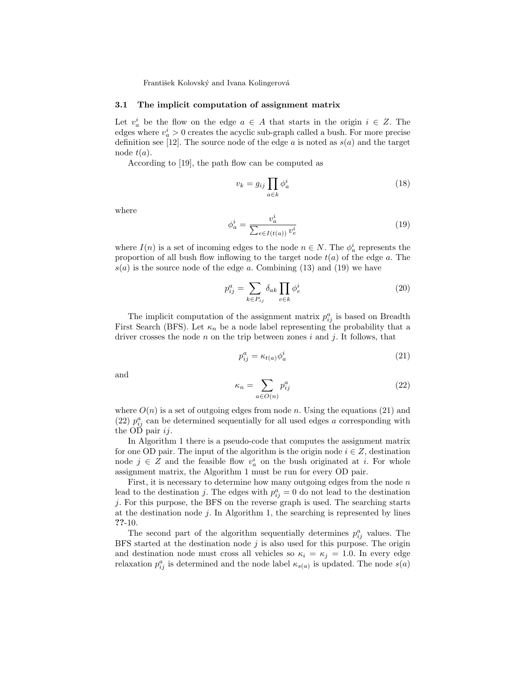#### 3.1 The implicit computation of assignment matrix

Let  $v_a^i$  be the flow on the edge  $a \in A$  that starts in the origin  $i \in Z$ . The edges where  $v_a^i > 0$  creates the acyclic sub-graph called a bush. For more precise definition see [12]. The source node of the edge  $a$  is noted as  $s(a)$  and the target node  $t(a)$ .

According to [19], the path flow can be computed as

$$
v_k = g_{ij} \prod_{a \in k} \phi_a^i \tag{18}
$$

where

$$
\phi_a^i = \frac{v_a^i}{\sum_{e \in I(t(a))} v_e^i} \tag{19}
$$

where  $I(n)$  is a set of incoming edges to the node  $n \in N$ . The  $\phi_a^i$  represents the proportion of all bush flow inflowing to the target node  $t(a)$  of the edge a. The  $s(a)$  is the source node of the edge a. Combining (13) and (19) we have

$$
p_{ij}^a = \sum_{k \in P_{ij}} \delta_{ak} \prod_{e \in k} \phi_e^i
$$
 (20)

The implicit computation of the assignment matrix  $p_{ij}^a$  is based on Breadth First Search (BFS). Let  $\kappa_n$  be a node label representing the probability that a driver crosses the node  $n$  on the trip between zones  $i$  and  $j$ . It follows, that

$$
p_{ij}^a = \kappa_{t(a)} \phi_a^i \tag{21}
$$

and

$$
\kappa_n = \sum_{a \in O(n)} p_{ij}^a \tag{22}
$$

where  $O(n)$  is a set of outgoing edges from node n. Using the equations (21) and (22)  $p_{ij}^a$  can be determined sequentially for all used edges a corresponding with the OD pair  $ij$ .

In Algorithm 1 there is a pseudo-code that computes the assignment matrix for one OD pair. The input of the algorithm is the origin node  $i \in \mathbb{Z}$ , destination node  $j \in \mathbb{Z}$  and the feasible flow  $v_a^i$  on the bush originated at *i*. For whole assignment matrix, the Algorithm 1 must be run for every OD pair.

First, it is necessary to determine how many outgoing edges from the node  $n$ lead to the destination j. The edges with  $p_{ij}^a = 0$  do not lead to the destination j. For this purpose, the BFS on the reverse graph is used. The searching starts at the destination node  $j$ . In Algorithm 1, the searching is represented by lines ??-10.

The second part of the algorithm sequentially determines  $p_{ij}^a$  values. The BFS started at the destination node  $j$  is also used for this purpose. The origin and destination node must cross all vehicles so  $\kappa_i = \kappa_j = 1.0$ . In every edge relaxation  $p_{ij}^a$  is determined and the node label  $\kappa_{s(a)}$  is updated. The node  $s(a)$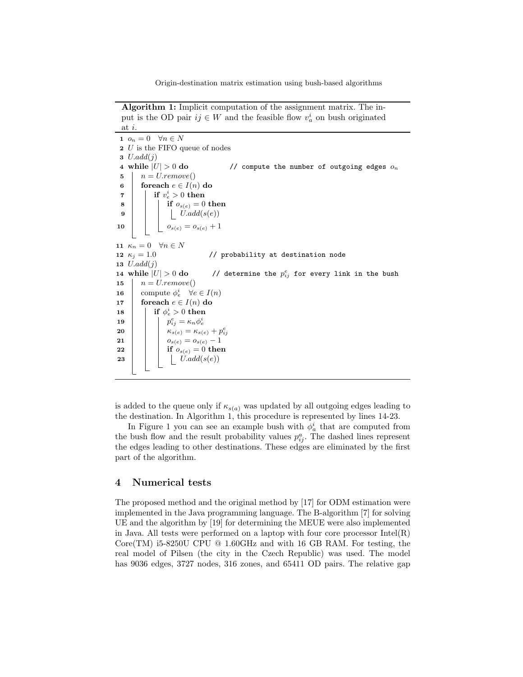Algorithm 1: Implicit computation of the assignment matrix. The input is the OD pair  $ij \in W$  and the feasible flow  $v_a^i$  on bush originated at i.

1  $o_n = 0 \quad \forall n \in N$ 2 U is the FIFO queue of nodes 3  $U.add(i)$ 4 while  $|U| > 0$  do // compute the number of outgoing edges  $o_n$  $5 \mid n = U$ .remove() 6 foreach  $e \in I(n)$  do  $\begin{array}{ccc} \texttt{7} & | & \texttt{if} & v_e^i > 0 \textbf{ then} \end{array}$  $\begin{array}{c|c|c|c} \mathbf{8} & \multicolumn{1}{|c|}{\quad \textbf{if} \;\; o_{s(e)} = 0 \;\textbf{then}} \end{array}$  $\mathbf{9}$  | | |  $U.add(s(e))$ 10  $o_{s(e)} = o_{s(e)} + 1$ 11  $\kappa_n = 0 \quad \forall n \in N$ 12  $\kappa_j = 1.0$  // probability at destination node 13  $U.add(j)$ 14 while  $|U| > 0$  do // determine the  $p_{ij}^e$  for every link in the bush 15  $n = U$ *remove*() 16 compute  $\phi_e^i$   $\forall e \in I(n)$ 17 foreach  $e \in I(n)$  do  $\quad \begin{array}{c|c} 18 & \text{if } \phi_e^i > 0 \text{ then} \end{array}$ 19 p e ij = κnφ i e 20  $\begin{array}{|c|c|} \hline \rule{0pt}{12pt} & \end{array}$   $\begin{array}{|c|c|} \hline \rule{0pt}{12pt} & \kappa_{s(e)} = \kappa_{s(e)} + p_{ij}^e \hline \end{array}$ **21**  $\begin{vmatrix} 1 & 0 \end{vmatrix}$   $o_{s(e)} = o_{s(e)} - 1$ 22 if  $o_{s(e)} = 0$  then  $\begin{array}{c|c|c|c|c} \textbf{23} & & \textbf{1} & \textbf{1} & \textbf{1} & \textbf{1} & \textbf{0} & \textbf{0} \end{array}$ 

is added to the queue only if  $\kappa_{s(a)}$  was updated by all outgoing edges leading to the destination. In Algorithm 1, this procedure is represented by lines 14-23.

In Figure 1 you can see an example bush with  $\phi_a^i$  that are computed from the bush flow and the result probability values  $p_{ij}^a$ . The dashed lines represent the edges leading to other destinations. These edges are eliminated by the first part of the algorithm.

### 4 Numerical tests

The proposed method and the original method by [17] for ODM estimation were implemented in the Java programming language. The B-algorithm [7] for solving UE and the algorithm by [19] for determining the MEUE were also implemented in Java. All tests were performed on a laptop with four core processor  $Intel(R)$ Core(TM) i5-8250U CPU  $@$  1.60GHz and with 16 GB RAM. For testing, the real model of Pilsen (the city in the Czech Republic) was used. The model has 9036 edges, 3727 nodes, 316 zones, and 65411 OD pairs. The relative gap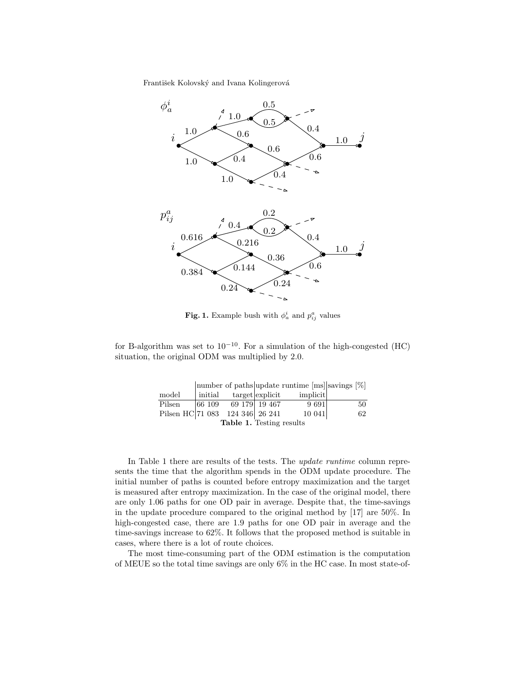

Fig. 1. Example bush with  $\phi_a^i$  and  $p_{ij}^a$  values

for B-algorithm was set to  $10^{-10}$ . For a simulation of the high-congested (HC) situation, the original ODM was multiplied by 2.0.

|                                 |  |                              |  | number of paths update runtime [ms] savings [%] |    |
|---------------------------------|--|------------------------------|--|-------------------------------------------------|----|
| $_{\rm model}$                  |  |                              |  | initial target explicit implicit                |    |
| Pilsen                          |  | $ 66\;109\;\;$ 69 179 19 467 |  | 9691                                            | 50 |
| Pilsen HC 71 083 124 346 26 241 |  |                              |  | 10041                                           | 62 |
| <b>Table 1.</b> Testing results |  |                              |  |                                                 |    |

In Table 1 there are results of the tests. The update runtime column represents the time that the algorithm spends in the ODM update procedure. The initial number of paths is counted before entropy maximization and the target is measured after entropy maximization. In the case of the original model, there are only 1.06 paths for one OD pair in average. Despite that, the time-savings in the update procedure compared to the original method by [17] are 50%. In high-congested case, there are 1.9 paths for one OD pair in average and the time-savings increase to 62%. It follows that the proposed method is suitable in cases, where there is a lot of route choices.

The most time-consuming part of the ODM estimation is the computation of MEUE so the total time savings are only 6% in the HC case. In most state-of-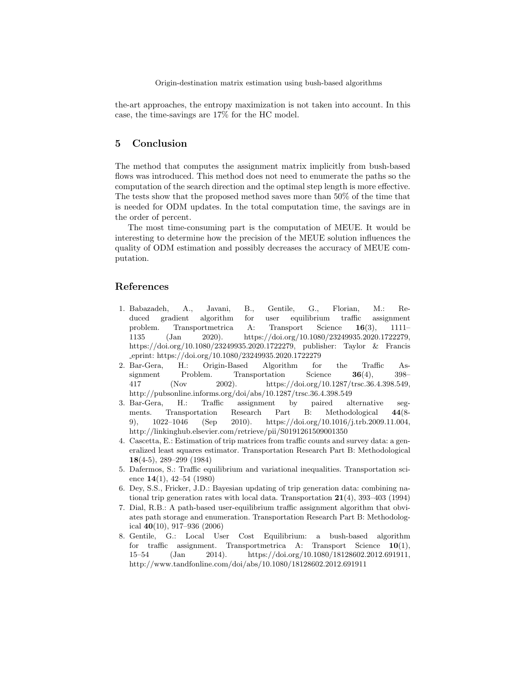the-art approaches, the entropy maximization is not taken into account. In this case, the time-savings are 17% for the HC model.

# 5 Conclusion

The method that computes the assignment matrix implicitly from bush-based flows was introduced. This method does not need to enumerate the paths so the computation of the search direction and the optimal step length is more effective. The tests show that the proposed method saves more than 50% of the time that is needed for ODM updates. In the total computation time, the savings are in the order of percent.

The most time-consuming part is the computation of MEUE. It would be interesting to determine how the precision of the MEUE solution influences the quality of ODM estimation and possibly decreases the accuracy of MEUE computation.

# References

- 1. Babazadeh, A., Javani, B., Gentile, G., Florian, M.: Reduced gradient algorithm for user equilibrium traffic assignment problem. Transportmetrica A: Transport Science 16(3), 1111– 1135 (Jan 2020). https://doi.org/10.1080/23249935.2020.1722279, https://doi.org/10.1080/23249935.2020.1722279, publisher: Taylor & Francis eprint: https://doi.org/10.1080/23249935.2020.1722279
- 2. Bar-Gera, H.: Origin-Based Algorithm for the Traffic Assignment Problem. Transportation Science 36(4), 398– 417 (Nov 2002). https://doi.org/10.1287/trsc.36.4.398.549, http://pubsonline.informs.org/doi/abs/10.1287/trsc.36.4.398.549
- 3. Bar-Gera, H.: Traffic assignment by paired alternative segments. Transportation Research Part B: Methodological 44(8- 9), 1022–1046 (Sep 2010). https://doi.org/10.1016/j.trb.2009.11.004, http://linkinghub.elsevier.com/retrieve/pii/S0191261509001350
- 4. Cascetta, E.: Estimation of trip matrices from traffic counts and survey data: a generalized least squares estimator. Transportation Research Part B: Methodological 18(4-5), 289–299 (1984)
- 5. Dafermos, S.: Traffic equilibrium and variational inequalities. Transportation science  $14(1)$ ,  $42-54$  (1980)
- 6. Dey, S.S., Fricker, J.D.: Bayesian updating of trip generation data: combining national trip generation rates with local data. Transportation 21(4), 393–403 (1994)
- 7. Dial, R.B.: A path-based user-equilibrium traffic assignment algorithm that obviates path storage and enumeration. Transportation Research Part B: Methodological  $40(10)$ , 917-936 (2006)
- 8. Gentile, G.: Local User Cost Equilibrium: a bush-based algorithm for traffic assignment. Transportmetrica A: Transport Science 10(1), 15–54 (Jan 2014). https://doi.org/10.1080/18128602.2012.691911, http://www.tandfonline.com/doi/abs/10.1080/18128602.2012.691911